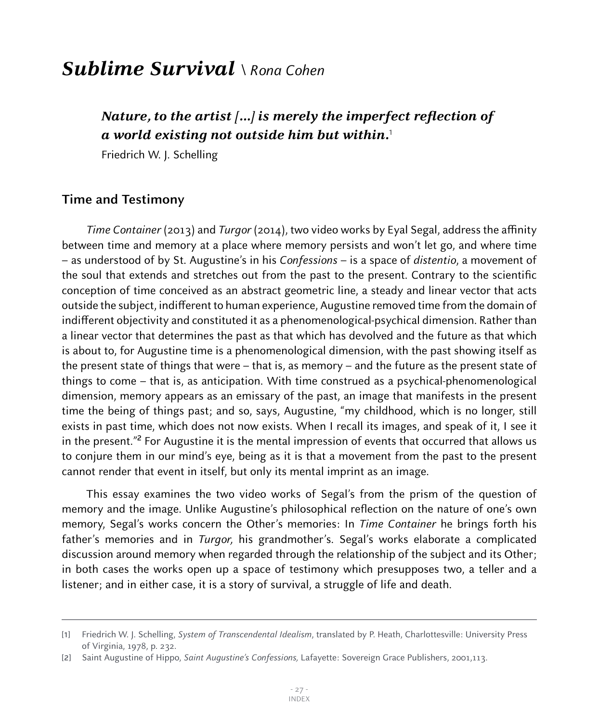## **Sublime Survival** \ Rona Cohen

## **Nature, to the artist […] is merely the imperfect reflection of a world existing not outside him but within.**<sup>1</sup>

Friedrich W. J. Schelling

## **Time and Testimony**

Time Container (2013) and Turgor (2014), two video works by Eyal Segal, address the affinity between time and memory at a place where memory persists and won't let go, and where time – as understood of by St. Augustine's in his Confessions – is a space of distentio, a movement of the soul that extends and stretches out from the past to the present. Contrary to the scientific conception of time conceived as an abstract geometric line, a steady and linear vector that acts outside the subject, indifferent to human experience, Augustine removed time from the domain of indifferent objectivity and constituted it as a phenomenological-psychical dimension. Rather than a linear vector that determines the past as that which has devolved and the future as that which is about to, for Augustine time is a phenomenological dimension, with the past showing itself as the present state of things that were – that is, as memory – and the future as the present state of things to come – that is, as anticipation. With time construed as a psychical-phenomenological dimension, memory appears as an emissary of the past, an image that manifests in the present time the being of things past; and so, says, Augustine, "my childhood, which is no longer, still exists in past time, which does not now exists. When I recall its images, and speak of it, I see it in the present."<sup>2</sup> For Augustine it is the mental impression of events that occurred that allows us to conjure them in our mind's eye, being as it is that a movement from the past to the present cannot render that event in itself, but only its mental imprint as an image.

This essay examines the two video works of Segal's from the prism of the question of memory and the image. Unlike Augustine's philosophical reflection on the nature of one's own memory, Segal's works concern the Other's memories: In *Time Container* he brings forth his father's memories and in *Turgor*, his grandmother's. Segal's works elaborate a complicated discussion around memory when regarded through the relationship of the subject and its Other; in both cases the works open up a space of testimony which presupposes two, a teller and a listener; and in either case, it is a story of survival, a struggle of life and death.

<sup>[1]</sup> Friedrich W. J. Schelling, System of Transcendental Idealism, translated by P. Heath, Charlottesville: University Press of Virginia, 1978, p. 232.

<sup>[</sup>2] Saint Augustine of Hippo, Saint Augustine's Confessions, Lafayette: Sovereign Grace Publishers, 2001,113.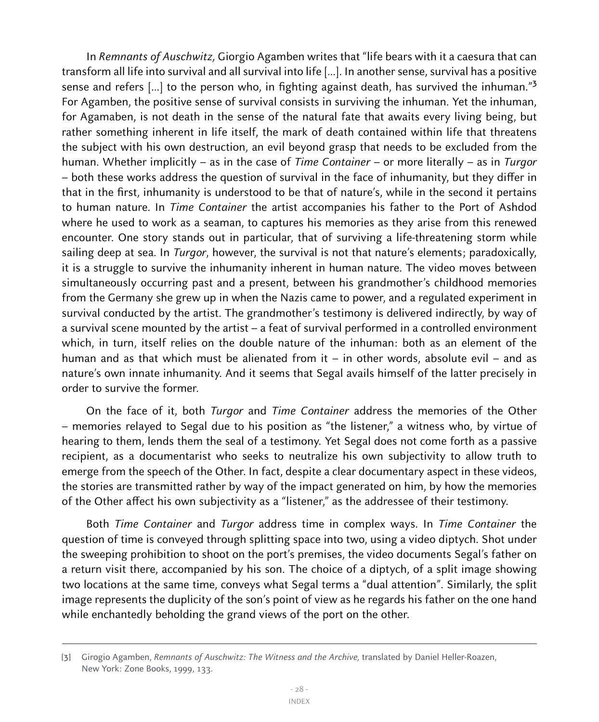In Remnants of Auschwitz, Giorgio Agamben writes that "life bears with it a caesura that can transform all life into survival and all survival into life […]. In another sense, survival has a positive sense and refers [...] to the person who, in fighting against death, has survived the inhuman."<sup>3</sup> For Agamben, the positive sense of survival consists in surviving the inhuman. Yet the inhuman, for Agamaben, is not death in the sense of the natural fate that awaits every living being, but rather something inherent in life itself, the mark of death contained within life that threatens the subject with his own destruction, an evil beyond grasp that needs to be excluded from the human. Whether implicitly – as in the case of *Time Container* – or more literally – as in *Turgor* – both these works address the question of survival in the face of inhumanity, but they differ in that in the first, inhumanity is understood to be that of nature's, while in the second it pertains to human nature. In Time Container the artist accompanies his father to the Port of Ashdod where he used to work as a seaman, to captures his memories as they arise from this renewed encounter. One story stands out in particular, that of surviving a life-threatening storm while sailing deep at sea. In Turgor, however, the survival is not that nature's elements; paradoxically, it is a struggle to survive the inhumanity inherent in human nature. The video moves between simultaneously occurring past and a present, between his grandmother's childhood memories from the Germany she grew up in when the Nazis came to power, and a regulated experiment in survival conducted by the artist. The grandmother's testimony is delivered indirectly, by way of a survival scene mounted by the artist – a feat of survival performed in a controlled environment which, in turn, itself relies on the double nature of the inhuman: both as an element of the human and as that which must be alienated from it – in other words, absolute evil – and as nature's own innate inhumanity. And it seems that Segal avails himself of the latter precisely in order to survive the former.

On the face of it, both Turgor and Time Container address the memories of the Other – memories relayed to Segal due to his position as "the listener," a witness who, by virtue of hearing to them, lends them the seal of a testimony. Yet Segal does not come forth as a passive recipient, as a documentarist who seeks to neutralize his own subjectivity to allow truth to emerge from the speech of the Other. In fact, despite a clear documentary aspect in these videos, the stories are transmitted rather by way of the impact generated on him, by how the memories of the Other affect his own subjectivity as a "listener," as the addressee of their testimony.

Both Time Container and Turgor address time in complex ways. In Time Container the question of time is conveyed through splitting space into two, using a video diptych. Shot under the sweeping prohibition to shoot on the port's premises, the video documents Segal's father on a return visit there, accompanied by his son. The choice of a diptych, of a split image showing two locations at the same time, conveys what Segal terms a "dual attention". Similarly, the split image represents the duplicity of the son's point of view as he regards his father on the one hand while enchantedly beholding the grand views of the port on the other.

<sup>[3]</sup> Girogio Agamben, Remnants of Auschwitz: The Witness and the Archive, translated by Daniel Heller-Roazen, New York: Zone Books, 1999, 133.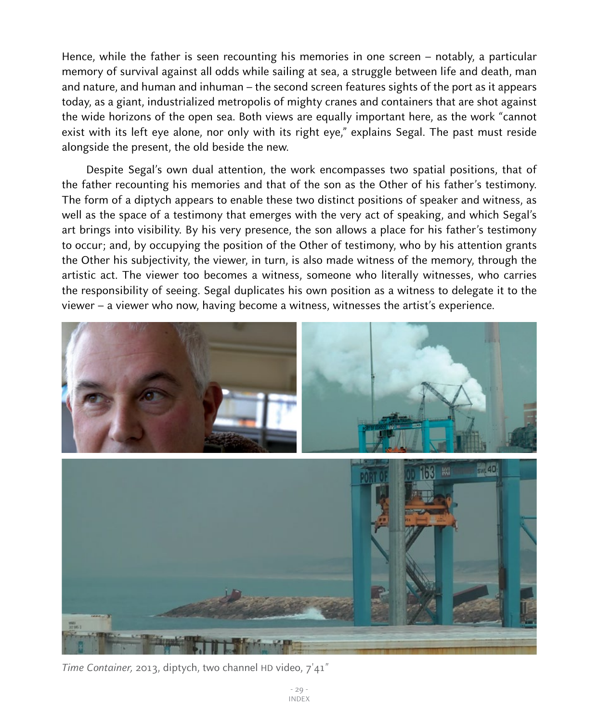Hence, while the father is seen recounting his memories in one screen – notably, a particular memory of survival against all odds while sailing at sea, a struggle between life and death, man and nature, and human and inhuman – the second screen features sights of the port as it appears today, as a giant, industrialized metropolis of mighty cranes and containers that are shot against the wide horizons of the open sea. Both views are equally important here, as the work "cannot exist with its left eye alone, nor only with its right eye," explains Segal. The past must reside alongside the present, the old beside the new.

Despite Segal's own dual attention, the work encompasses two spatial positions, that of the father recounting his memories and that of the son as the Other of his father's testimony. The form of a diptych appears to enable these two distinct positions of speaker and witness, as well as the space of a testimony that emerges with the very act of speaking, and which Segal's art brings into visibility. By his very presence, the son allows a place for his father's testimony to occur; and, by occupying the position of the Other of testimony, who by his attention grants the Other his subjectivity, the viewer, in turn, is also made witness of the memory, through the artistic act. The viewer too becomes a witness, someone who literally witnesses, who carries the responsibility of seeing. Segal duplicates his own position as a witness to delegate it to the viewer – a viewer who now, having become a witness, witnesses the artist's experience.



Time Container, 2013, diptych, two channel HD video, 7'41"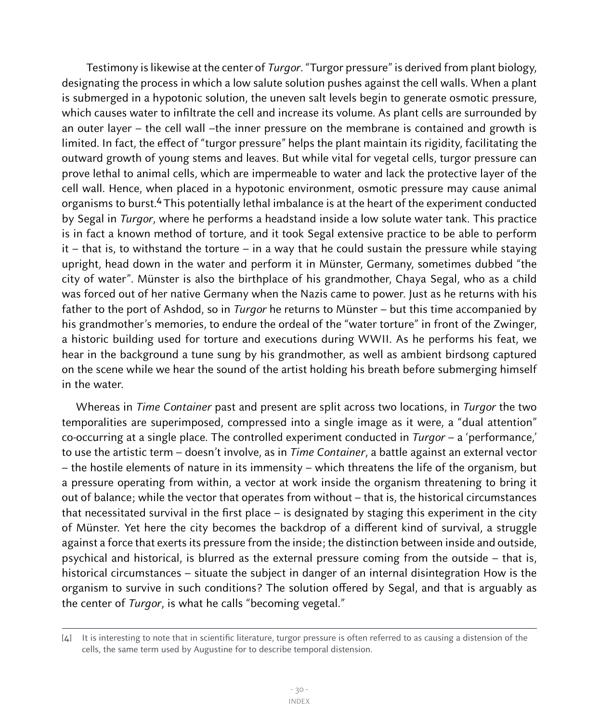Testimony is likewise at the center of *Turgor*. "Turgor pressure" is derived from plant biology, designating the process in which a low salute solution pushes against the cell walls. When a plant is submerged in a hypotonic solution, the uneven salt levels begin to generate osmotic pressure, which causes water to infiltrate the cell and increase its volume. As plant cells are surrounded by an outer layer – the cell wall –the inner pressure on the membrane is contained and growth is limited. In fact, the effect of "turgor pressure" helps the plant maintain its rigidity, facilitating the outward growth of young stems and leaves. But while vital for vegetal cells, turgor pressure can prove lethal to animal cells, which are impermeable to water and lack the protective layer of the cell wall. Hence, when placed in a hypotonic environment, osmotic pressure may cause animal organisms to burst.4 This potentially lethal imbalance is at the heart of the experiment conducted by Segal in Turgor, where he performs a headstand inside a low solute water tank. This practice is in fact a known method of torture, and it took Segal extensive practice to be able to perform  $it$  – that is, to withstand the torture – in a way that he could sustain the pressure while staying upright, head down in the water and perform it in Münster, Germany, sometimes dubbed "the city of water". Münster is also the birthplace of his grandmother, Chaya Segal, who as a child was forced out of her native Germany when the Nazis came to power. Just as he returns with his father to the port of Ashdod, so in Turgor he returns to Münster – but this time accompanied by his grandmother's memories, to endure the ordeal of the "water torture" in front of the Zwinger, a historic building used for torture and executions during WWII. As he performs his feat, we hear in the background a tune sung by his grandmother, as well as ambient birdsong captured on the scene while we hear the sound of the artist holding his breath before submerging himself in the water.

Whereas in Time Container past and present are split across two locations, in Turgor the two temporalities are superimposed, compressed into a single image as it were, a "dual attention" co-occurring at a single place. The controlled experiment conducted in  $Turgor - a$  'performance,' to use the artistic term – doesn't involve, as in *Time Container*, a battle against an external vector – the hostile elements of nature in its immensity – which threatens the life of the organism, but a pressure operating from within, a vector at work inside the organism threatening to bring it out of balance; while the vector that operates from without – that is, the historical circumstances that necessitated survival in the first place – is designated by staging this experiment in the city of Münster. Yet here the city becomes the backdrop of a different kind of survival, a struggle against a force that exerts its pressure from the inside; the distinction between inside and outside, psychical and historical, is blurred as the external pressure coming from the outside – that is, historical circumstances – situate the subject in danger of an internal disintegration How is the organism to survive in such conditions? The solution offered by Segal, and that is arguably as the center of Turgor, is what he calls "becoming vegetal."

<sup>[4]</sup> It is interesting to note that in scientific literature, turgor pressure is often referred to as causing a distension of the cells, the same term used by Augustine for to describe temporal distension.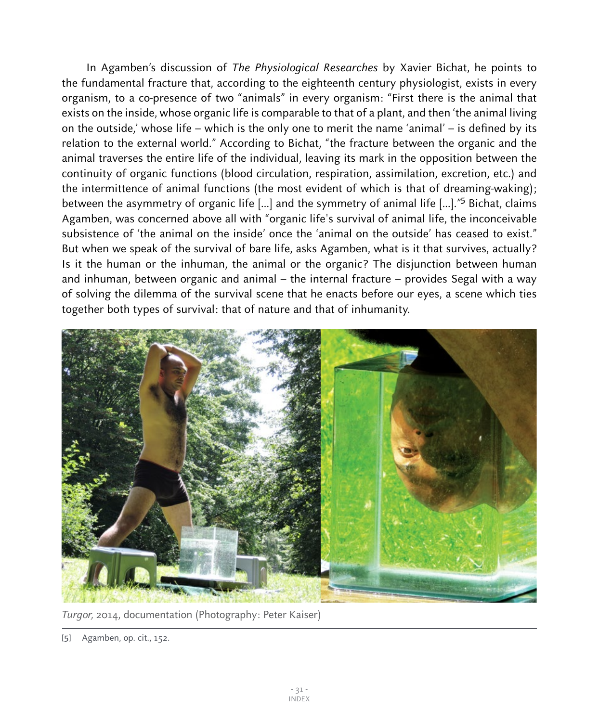In Agamben's discussion of The Physiological Researches by Xavier Bichat, he points to the fundamental fracture that, according to the eighteenth century physiologist, exists in every organism, to a co-presence of two "animals" in every organism: "First there is the animal that exists on the inside, whose organic life is comparable to that of a plant, and then 'the animal living on the outside,' whose life – which is the only one to merit the name 'animal' – is defined by its relation to the external world." According to Bichat, "the fracture between the organic and the animal traverses the entire life of the individual, leaving its mark in the opposition between the continuity of organic functions (blood circulation, respiration, assimilation, excretion, etc.) and the intermittence of animal functions (the most evident of which is that of dreaming-waking); between the asymmetry of organic life [...] and the symmetry of animal life [...]."<sup>5</sup> Bichat, claims Agamben, was concerned above all with "organic life's survival of animal life, the inconceivable subsistence of 'the animal on the inside' once the 'animal on the outside' has ceased to exist." But when we speak of the survival of bare life, asks Agamben, what is it that survives, actually? Is it the human or the inhuman, the animal or the organic? The disjunction between human and inhuman, between organic and animal – the internal fracture – provides Segal with a way of solving the dilemma of the survival scene that he enacts before our eyes, a scene which ties together both types of survival: that of nature and that of inhumanity.



Turgor, 2014, documentation (Photography: Peter Kaiser)

<sup>[</sup>5] Agamben, op. cit., 152.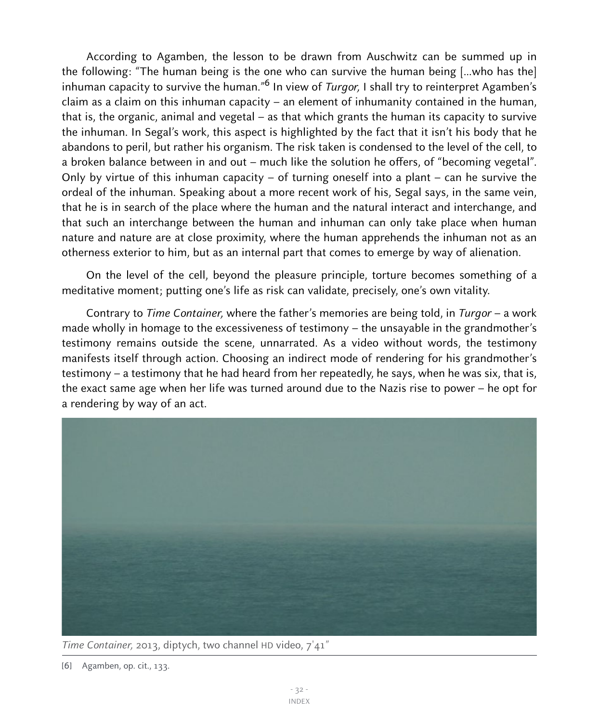According to Agamben, the lesson to be drawn from Auschwitz can be summed up in the following: "The human being is the one who can survive the human being […who has the] inhuman capacity to survive the human.<sup>"6</sup> In view of *Turgor*, I shall try to reinterpret Agamben's claim as a claim on this inhuman capacity – an element of inhumanity contained in the human, that is, the organic, animal and vegetal – as that which grants the human its capacity to survive the inhuman. In Segal's work, this aspect is highlighted by the fact that it isn't his body that he abandons to peril, but rather his organism. The risk taken is condensed to the level of the cell, to a broken balance between in and out – much like the solution he offers, of "becoming vegetal". Only by virtue of this inhuman capacity – of turning oneself into a plant – can he survive the ordeal of the inhuman. Speaking about a more recent work of his, Segal says, in the same vein, that he is in search of the place where the human and the natural interact and interchange, and that such an interchange between the human and inhuman can only take place when human nature and nature are at close proximity, where the human apprehends the inhuman not as an otherness exterior to him, but as an internal part that comes to emerge by way of alienation.

On the level of the cell, beyond the pleasure principle, torture becomes something of a meditative moment; putting one's life as risk can validate, precisely, one's own vitality.

Contrary to Time Container, where the father's memories are being told, in Turgor – a work made wholly in homage to the excessiveness of testimony – the unsayable in the grandmother's testimony remains outside the scene, unnarrated. As a video without words, the testimony manifests itself through action. Choosing an indirect mode of rendering for his grandmother's testimony – a testimony that he had heard from her repeatedly, he says, when he was six, that is, the exact same age when her life was turned around due to the Nazis rise to power – he opt for a rendering by way of an act.



Time Container, 2013, diptych, two channel HD video, 7'41"

<sup>[</sup>6] Agamben, op. cit., 133.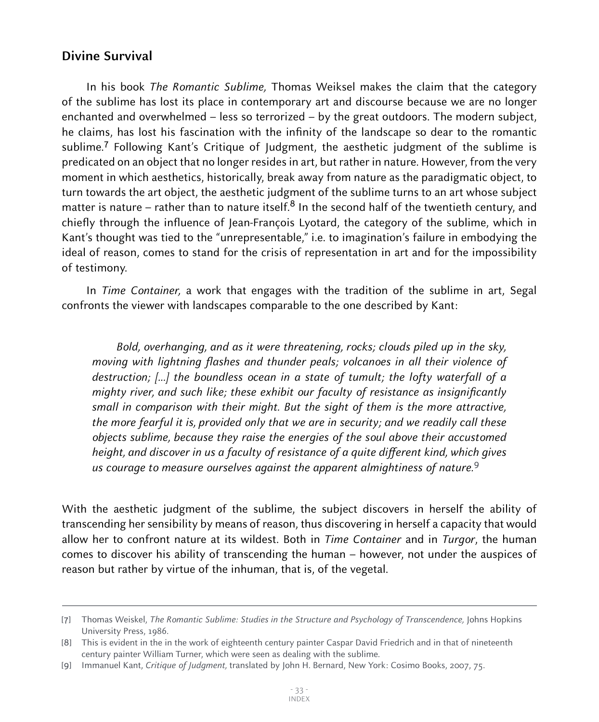## **Divine Survival**

In his book The Romantic Sublime, Thomas Weiksel makes the claim that the category of the sublime has lost its place in contemporary art and discourse because we are no longer enchanted and overwhelmed – less so terrorized – by the great outdoors. The modern subject, he claims, has lost his fascination with the infinity of the landscape so dear to the romantic sublime.7 Following Kant's Critique of Judgment, the aesthetic judgment of the sublime is predicated on an object that no longer resides in art, but rather in nature. However, from the very moment in which aesthetics, historically, break away from nature as the paradigmatic object, to turn towards the art object, the aesthetic judgment of the sublime turns to an art whose subject matter is nature – rather than to nature itself.<sup>8</sup> In the second half of the twentieth century, and chiefly through the influence of Jean-François Lyotard, the category of the sublime, which in Kant's thought was tied to the "unrepresentable," i.e. to imagination's failure in embodying the ideal of reason, comes to stand for the crisis of representation in art and for the impossibility of testimony.

In Time Container, a work that engages with the tradition of the sublime in art, Segal confronts the viewer with landscapes comparable to the one described by Kant:

Bold, overhanging, and as it were threatening, rocks; clouds piled up in the sky, moving with lightning flashes and thunder peals; volcanoes in all their violence of destruction; [...] the boundless ocean in a state of tumult; the lofty waterfall of a mighty river, and such like; these exhibit our faculty of resistance as insignificantly small in comparison with their might. But the sight of them is the more attractive, the more fearful it is, provided only that we are in security; and we readily call these objects sublime, because they raise the energies of the soul above their accustomed height, and discover in us a faculty of resistance of a quite different kind, which gives us courage to measure ourselves against the apparent almightiness of nature.<sup>9</sup>

With the aesthetic judgment of the sublime, the subject discovers in herself the ability of transcending her sensibility by means of reason, thus discovering in herself a capacity that would allow her to confront nature at its wildest. Both in *Time Container* and in *Turgor*, the human comes to discover his ability of transcending the human – however, not under the auspices of reason but rather by virtue of the inhuman, that is, of the vegetal.

<sup>[7]</sup> Thomas Weiskel, The Romantic Sublime: Studies in the Structure and Psychology of Transcendence, Johns Hopkins University Press, 1986.

<sup>[</sup>8] This is evident in the in the work of eighteenth century painter Caspar David Friedrich and in that of nineteenth century painter William Turner, which were seen as dealing with the sublime.

<sup>[9]</sup> Immanuel Kant, Critique of Judgment, translated by John H. Bernard, New York: Cosimo Books, 2007, 75.